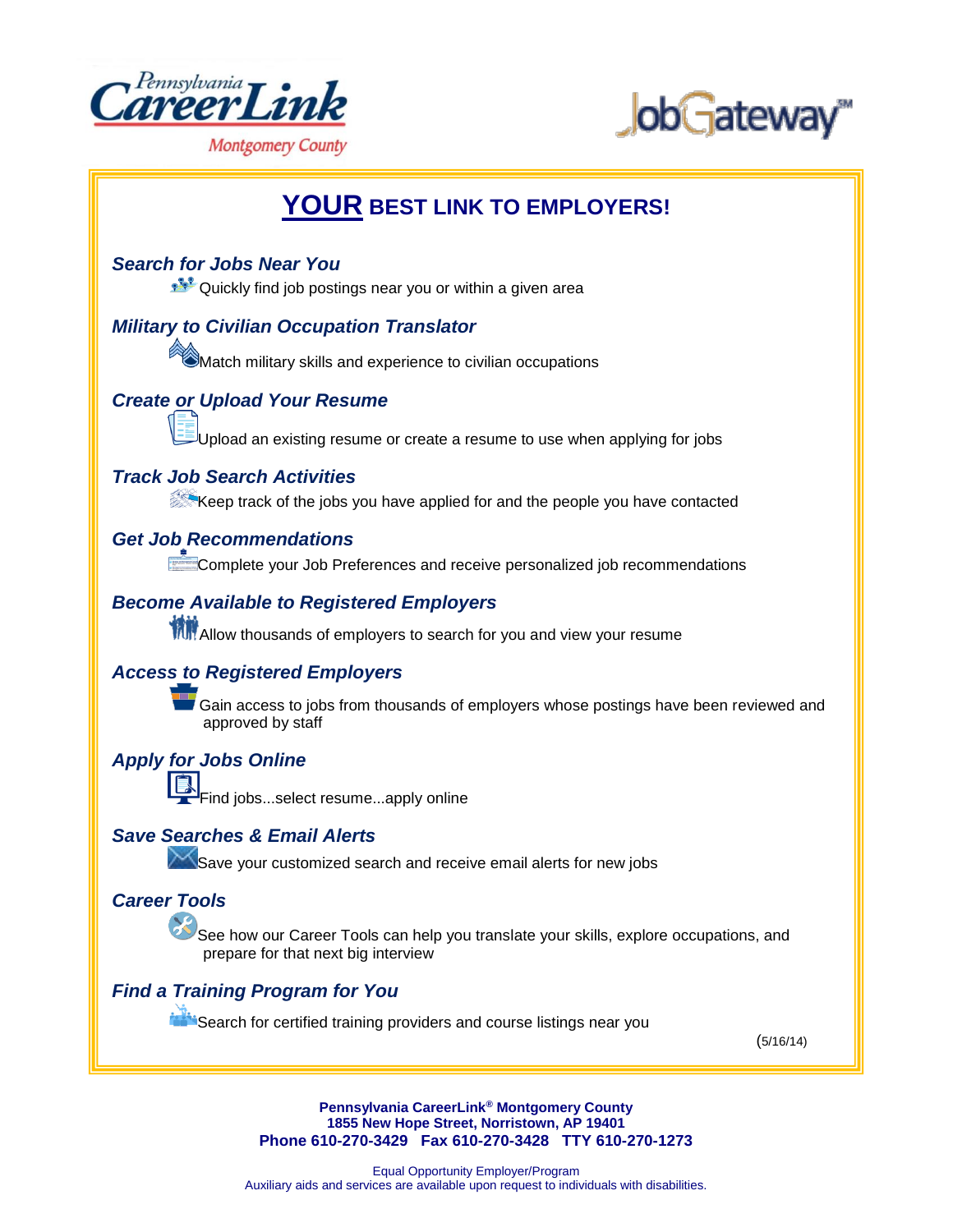



# **YOUR BEST LINK TO EMPLOYERS!**

#### *Search for Jobs Near You*

Quickly find job postings near you or within a given area

## *Military to Civilian Occupation Translator*

 $\bigcirc$ Match military skills and experience to civilian occupations

## *Create or Upload Your Resume*

pload an existing resume or create a resume to use when applying for jobs

#### *Track Job Search Activities*

Keep track of the jobs you have applied for and the people you have contacted

#### *Get Job Recommendations*

**Complete your Job Preferences and receive personalized job recommendations** 

#### *Become Available to Registered Employers*

**THE Allow thousands of employers to search for you and view your resume** 

#### *Access to Registered Employers*



Gain access to jobs from thousands of employers whose postings have been reviewed and approved by staff

#### *Apply for Jobs Online*

Find jobs...select resume...apply online

#### *Save Searches & Email Alerts*

Save your customized search and receive email alerts for new jobs

## *Career Tools*

See how our Career Tools can help you translate your skills, explore occupations, and prepare for that next big interview

#### *Find a Training Program for You*

**EXALGO FOR CONTROLLET SEARCH FOR COLLET FOR A LIGAN SEARCH FOR CONTROLLET SEARCH FOR COLLET FOR A LIGAN SEARCH** 

(5/16/14)

**Pennsylvania CareerLink® Montgomery County 1855 New Hope Street, Norristown, AP 19401 Phone 610-270-3429 Fax 610-270-3428 TTY 610-270-1273**

Equal Opportunity Employer/Program Auxiliary aids and services are available upon request to individuals with disabilities.